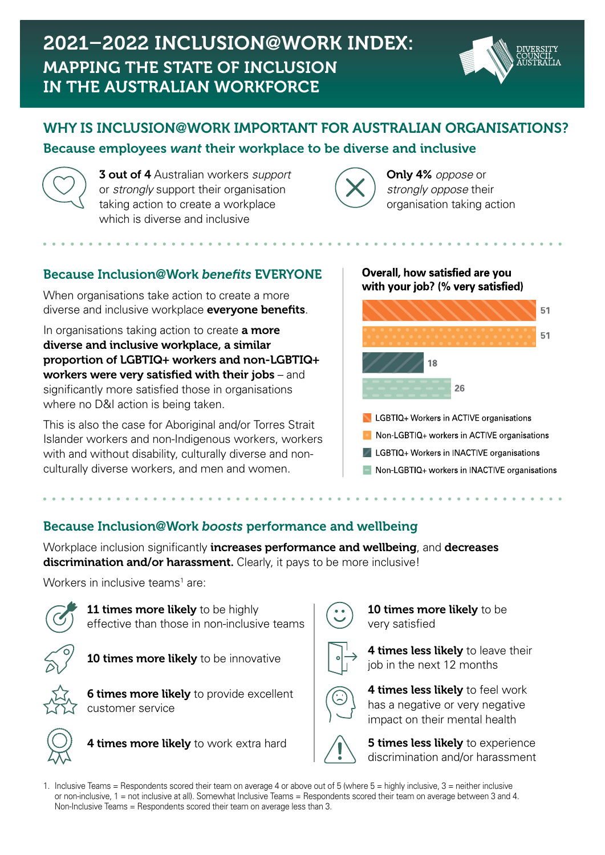

# WHY IS INCLUSION**@**WORK IMPORTANT FOR AUSTRALIAN ORGANISATIONS? Because employees *want* their workplace to be diverse and inclusive.



3 out of 4 Australian workers *support* or *strongly* support their organisation taking action to create a workplace which is diverse and inclusive.



Only 4% *oppose* or *strongly oppose* their organisation taking action.

## Because Inclusion**@**Work *benefits* EVERYONE.

When organisations take action to create a more diverse and inclusive workplace everyone benefits.

In organisations taking action to create **a more** diverse and inclusive workplace, a similar proportion of LGBTIQ+ workers and non-LGBTIQ+ workers were very satisfied with their jobs – and significantly more satisfied those in organisations where no D&I action is being taken.

This is also the case for Aboriginal and/or Torres Strait Islander workers and non-Indigenous workers, workers with and without disability, culturally diverse and nonculturally diverse workers, and men and women.

#### Overall, how satisfied are you with your job? (% very satisfied)



- LGBTIQ+ Workers in ACTIVE organisations
- Non-LGBTIQ+ workers in ACTIVE organisations
- LGBTIQ+ Workers in INACTIVE organisations
- Non-LGBTIQ+ workers in INACTIVE organisations

#### Because Inclusion**@**Work *boosts* performance and wellbeing.

Workplace inclusion significantly increases performance and wellbeing, and decreases discrimination and/or harassment. Clearly, it pays to be more inclusive!

Workers in inclusive teams<sup>1</sup> are:



11 times more likely to be highly effective than those in non-inclusive teams.



10 times more likely to be innovative.



**6 times more likely** to provide excellent customer service.



4 times more likely to work extra hard.



**10 times more likely** to be very satisfied.



4 times less likely to leave their job in the next 12 months.

4 times less likely to feel work has a negative or very negative impact on their mental health.



**5 times less likely** to experience discrimination and/or harassment.

1. Inclusive Teams = Respondents scored their team on average 4 or above out of 5 (where 5 = highly inclusive, 3 = neither inclusive or non-inclusive, 1 = not inclusive at all). Somewhat Inclusive Teams = Respondents scored their team on average between 3 and 4. Non-Inclusive Teams = Respondents scored their team on average less than 3.